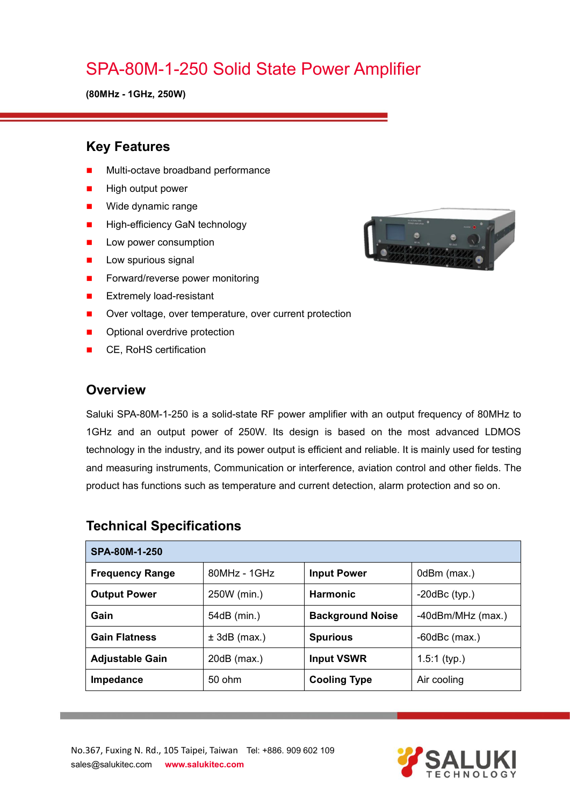# SPA-80M-1-250 Solid State Power Amplifier

**(80MHz - 1GHz, 250W)**

### **Key Features**

- Multi-octave broadband performance
- High output power
- **Nide dynamic range**
- **High-efficiency GaN technology**
- **Low power consumption**
- $\blacksquare$  Low spurious signal
- Forward/reverse power monitoring
- **EXtremely load-resistant**
- Over voltage, over temperature, over current protection
- **Department** Optional overdrive protection
- CE, RoHS certification

#### **Overview**

Saluki SPA-80M-1-250 is a solid-state RF power amplifier with an output frequency of 80MHz to 1GHz and an output power of 250W. Its design is based on the most advanced LDMOS technology in the industry, and its power output is efficient and reliable. It is mainly used for testing and measuring instruments, Communication or interference, aviation control and other fields. The product has functions such as temperature and current detection, alarm protection and so on.

| SPA-80M-1-250          |                |                         |                     |  |
|------------------------|----------------|-------------------------|---------------------|--|
| <b>Frequency Range</b> | $80MHz - 1GHz$ | <b>Input Power</b>      | 0dBm (max.)         |  |
| <b>Output Power</b>    | 250W (min.)    | <b>Harmonic</b>         | $-20$ dBc $(typ.)$  |  |
| Gain                   | 54dB (min.)    | <b>Background Noise</b> | -40dBm/MHz (max.)   |  |
| <b>Gain Flatness</b>   | $± 3dB$ (max.) | <b>Spurious</b>         | $-60$ d $Bc$ (max.) |  |
| <b>Adjustable Gain</b> | $20dB$ (max.)  | <b>Input VSWR</b>       | $1.5:1$ (typ.)      |  |
| Impedance              | 50 ohm         | <b>Cooling Type</b>     | Air cooling         |  |

### **Technical Specifications**